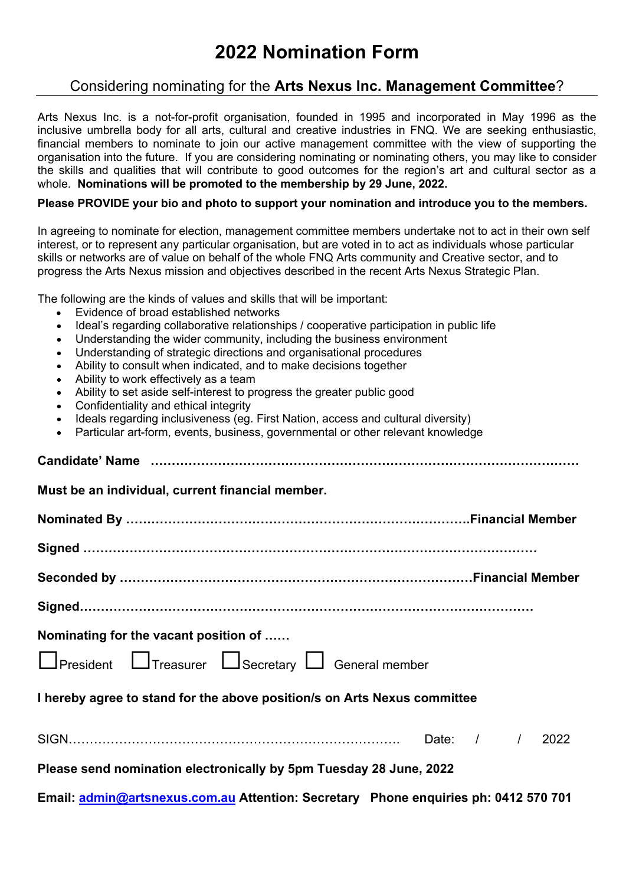## **2022 Nomination Form**

## Considering nominating for the **Arts Nexus Inc. Management Committee**?

Arts Nexus Inc. is a not-for-profit organisation, founded in 1995 and incorporated in May 1996 as the inclusive umbrella body for all arts, cultural and creative industries in FNQ. We are seeking enthusiastic, financial members to nominate to join our active management committee with the view of supporting the organisation into the future. If you are considering nominating or nominating others, you may like to consider the skills and qualities that will contribute to good outcomes for the region's art and cultural sector as a whole. **Nominations will be promoted to the membership by 29 June, 2022.** 

## **Please PROVIDE your bio and photo to support your nomination and introduce you to the members.**

In agreeing to nominate for election, management committee members undertake not to act in their own self interest, or to represent any particular organisation, but are voted in to act as individuals whose particular skills or networks are of value on behalf of the whole FNQ Arts community and Creative sector, and to progress the Arts Nexus mission and objectives described in the recent Arts Nexus Strategic Plan.

The following are the kinds of values and skills that will be important:

- Evidence of broad established networks
- Ideal's regarding collaborative relationships / cooperative participation in public life
- Understanding the wider community, including the business environment
- Understanding of strategic directions and organisational procedures
- Ability to consult when indicated, and to make decisions together
- Ability to work effectively as a team
- Ability to set aside self-interest to progress the greater public good
- Confidentiality and ethical integrity
- Ideals regarding inclusiveness (eg. First Nation, access and cultural diversity)
- Particular art-form, events, business, governmental or other relevant knowledge

| Must be an individual, current financial member.                                    |
|-------------------------------------------------------------------------------------|
|                                                                                     |
|                                                                                     |
|                                                                                     |
|                                                                                     |
| Nominating for the vacant position of                                               |
| □President □ Treasurer □ Secretary □ General member                                 |
| I hereby agree to stand for the above position/s on Arts Nexus committee            |
|                                                                                     |
| Please send nomination electronically by 5pm Tuesday 28 June, 2022                  |
| Email: admin@artsnexus.com.au Attention: Secretary Phone enquiries ph: 0412 570 701 |